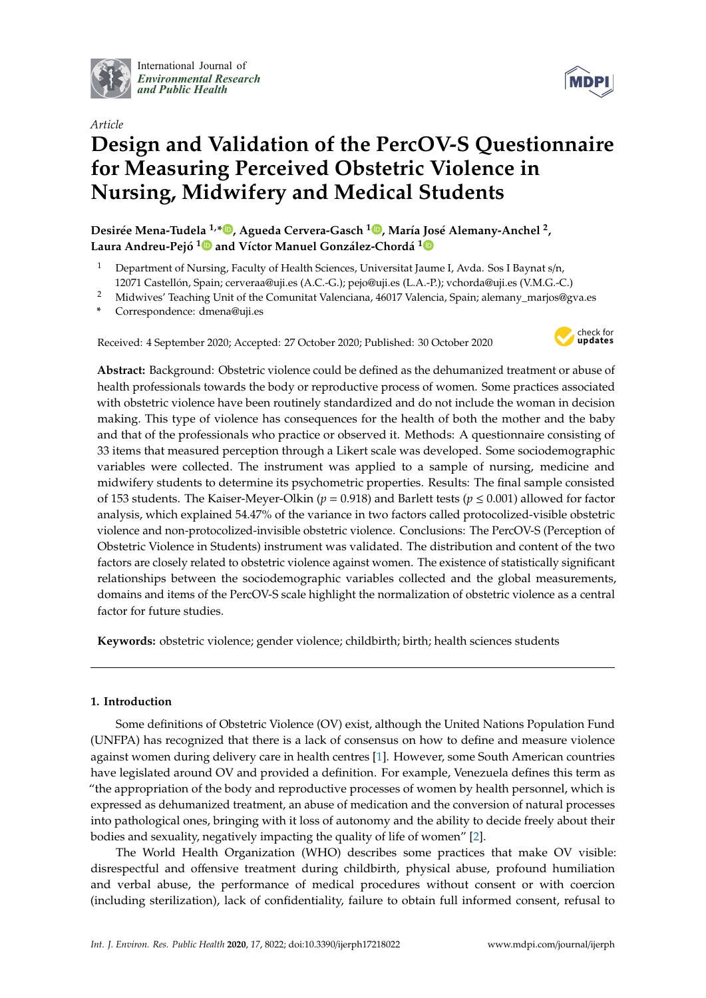

International Journal of *[Environmental Research](http://www.mdpi.com/journal/ijerph) and Public Health*





# **Design and Validation of the PercOV-S Questionnaire for Measuring Perceived Obstetric Violence in Nursing, Midwifery and Medical Students**

**Desirée Mena-Tudela 1,\* [,](https://orcid.org/0000-0003-1596-3064) Agueda Cervera-Gasch [1](https://orcid.org/0000-0002-8187-680X) , María José Alemany-Anchel <sup>2</sup> , Laura Andreu-Pejó [1](https://orcid.org/0000-0002-2944-9878) and Víctor Manuel González-Chordá [1](https://orcid.org/0000-0001-7426-6686)**

- <sup>1</sup> Department of Nursing, Faculty of Health Sciences, Universitat Jaume I, Avda. Sos I Baynat s/n, 12071 Castellón, Spain; cerveraa@uji.es (A.C.-G.); pejo@uji.es (L.A.-P.); vchorda@uji.es (V.M.G.-C.)
- <sup>2</sup> Midwives' Teaching Unit of the Comunitat Valenciana, 46017 Valencia, Spain; alemany\_marjos@gva.es
- **\*** Correspondence: dmena@uji.es

Received: 4 September 2020; Accepted: 27 October 2020; Published: 30 October 2020



**Abstract:** Background: Obstetric violence could be defined as the dehumanized treatment or abuse of health professionals towards the body or reproductive process of women. Some practices associated with obstetric violence have been routinely standardized and do not include the woman in decision making. This type of violence has consequences for the health of both the mother and the baby and that of the professionals who practice or observed it. Methods: A questionnaire consisting of 33 items that measured perception through a Likert scale was developed. Some sociodemographic variables were collected. The instrument was applied to a sample of nursing, medicine and midwifery students to determine its psychometric properties. Results: The final sample consisted of 153 students. The Kaiser-Meyer-Olkin ( $p = 0.918$ ) and Barlett tests ( $p \le 0.001$ ) allowed for factor analysis, which explained 54.47% of the variance in two factors called protocolized-visible obstetric violence and non-protocolized-invisible obstetric violence. Conclusions: The PercOV-S (Perception of Obstetric Violence in Students) instrument was validated. The distribution and content of the two factors are closely related to obstetric violence against women. The existence of statistically significant relationships between the sociodemographic variables collected and the global measurements, domains and items of the PercOV-S scale highlight the normalization of obstetric violence as a central factor for future studies.

**Keywords:** obstetric violence; gender violence; childbirth; birth; health sciences students

# **1. Introduction**

Some definitions of Obstetric Violence (OV) exist, although the United Nations Population Fund (UNFPA) has recognized that there is a lack of consensus on how to define and measure violence against women during delivery care in health centres [\[1\]](#page-8-0). However, some South American countries have legislated around OV and provided a definition. For example, Venezuela defines this term as "the appropriation of the body and reproductive processes of women by health personnel, which is expressed as dehumanized treatment, an abuse of medication and the conversion of natural processes into pathological ones, bringing with it loss of autonomy and the ability to decide freely about their bodies and sexuality, negatively impacting the quality of life of women" [\[2\]](#page-8-1).

The World Health Organization (WHO) describes some practices that make OV visible: disrespectful and offensive treatment during childbirth, physical abuse, profound humiliation and verbal abuse, the performance of medical procedures without consent or with coercion (including sterilization), lack of confidentiality, failure to obtain full informed consent, refusal to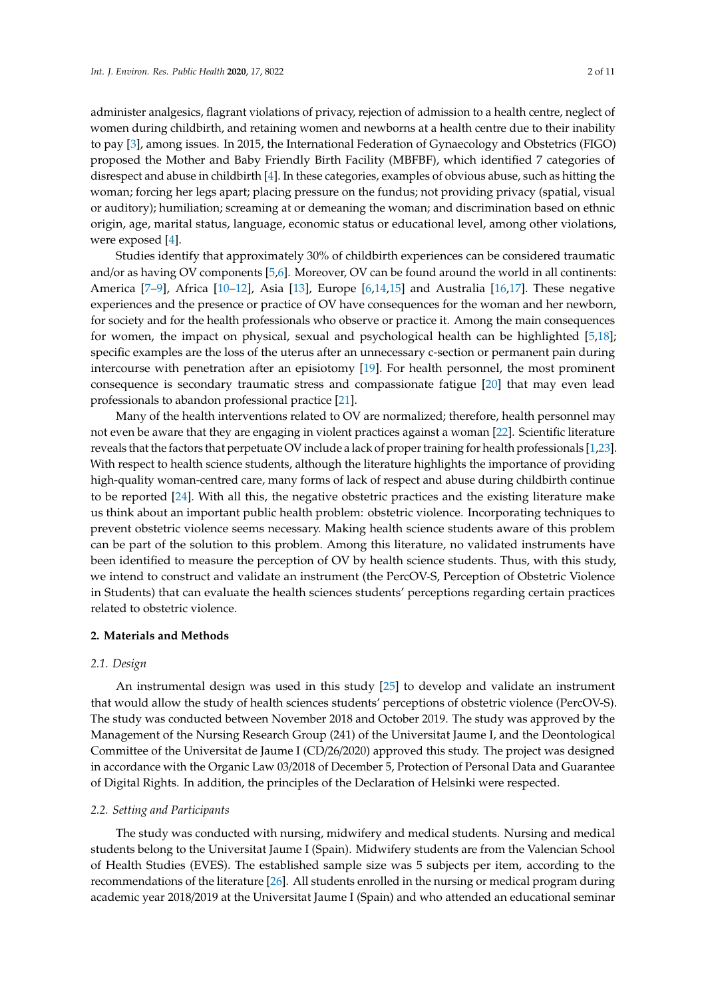administer analgesics, flagrant violations of privacy, rejection of admission to a health centre, neglect of women during childbirth, and retaining women and newborns at a health centre due to their inability to pay [\[3\]](#page-8-2), among issues. In 2015, the International Federation of Gynaecology and Obstetrics (FIGO) proposed the Mother and Baby Friendly Birth Facility (MBFBF), which identified 7 categories of disrespect and abuse in childbirth [\[4\]](#page-9-0). In these categories, examples of obvious abuse, such as hitting the woman; forcing her legs apart; placing pressure on the fundus; not providing privacy (spatial, visual or auditory); humiliation; screaming at or demeaning the woman; and discrimination based on ethnic origin, age, marital status, language, economic status or educational level, among other violations, were exposed [\[4\]](#page-9-0).

Studies identify that approximately 30% of childbirth experiences can be considered traumatic and/or as having OV components [\[5](#page-9-1)[,6\]](#page-9-2). Moreover, OV can be found around the world in all continents: America [\[7](#page-9-3)[–9\]](#page-9-4), Africa [\[10](#page-9-5)[–12\]](#page-9-6), Asia [\[13\]](#page-9-7), Europe [\[6](#page-9-2)[,14](#page-9-8)[,15\]](#page-9-9) and Australia [\[16,](#page-9-10)[17\]](#page-9-11). These negative experiences and the presence or practice of OV have consequences for the woman and her newborn, for society and for the health professionals who observe or practice it. Among the main consequences for women, the impact on physical, sexual and psychological health can be highlighted [\[5,](#page-9-1)[18\]](#page-9-12); specific examples are the loss of the uterus after an unnecessary c-section or permanent pain during intercourse with penetration after an episiotomy [\[19\]](#page-9-13). For health personnel, the most prominent consequence is secondary traumatic stress and compassionate fatigue [\[20\]](#page-9-14) that may even lead professionals to abandon professional practice [\[21\]](#page-9-15).

Many of the health interventions related to OV are normalized; therefore, health personnel may not even be aware that they are engaging in violent practices against a woman [\[22\]](#page-9-16). Scientific literature reveals that the factors that perpetuate OV include a lack of proper training for health professionals [\[1](#page-8-0)[,23\]](#page-9-17). With respect to health science students, although the literature highlights the importance of providing high-quality woman-centred care, many forms of lack of respect and abuse during childbirth continue to be reported [\[24\]](#page-9-18). With all this, the negative obstetric practices and the existing literature make us think about an important public health problem: obstetric violence. Incorporating techniques to prevent obstetric violence seems necessary. Making health science students aware of this problem can be part of the solution to this problem. Among this literature, no validated instruments have been identified to measure the perception of OV by health science students. Thus, with this study, we intend to construct and validate an instrument (the PercOV-S, Perception of Obstetric Violence in Students) that can evaluate the health sciences students' perceptions regarding certain practices related to obstetric violence.

#### **2. Materials and Methods**

#### *2.1. Design*

An instrumental design was used in this study [\[25\]](#page-9-19) to develop and validate an instrument that would allow the study of health sciences students' perceptions of obstetric violence (PercOV-S). The study was conducted between November 2018 and October 2019. The study was approved by the Management of the Nursing Research Group (241) of the Universitat Jaume I, and the Deontological Committee of the Universitat de Jaume I (CD/26/2020) approved this study. The project was designed in accordance with the Organic Law 03/2018 of December 5, Protection of Personal Data and Guarantee of Digital Rights. In addition, the principles of the Declaration of Helsinki were respected.

## *2.2. Setting and Participants*

The study was conducted with nursing, midwifery and medical students. Nursing and medical students belong to the Universitat Jaume I (Spain). Midwifery students are from the Valencian School of Health Studies (EVES). The established sample size was 5 subjects per item, according to the recommendations of the literature [\[26\]](#page-10-0). All students enrolled in the nursing or medical program during academic year 2018/2019 at the Universitat Jaume I (Spain) and who attended an educational seminar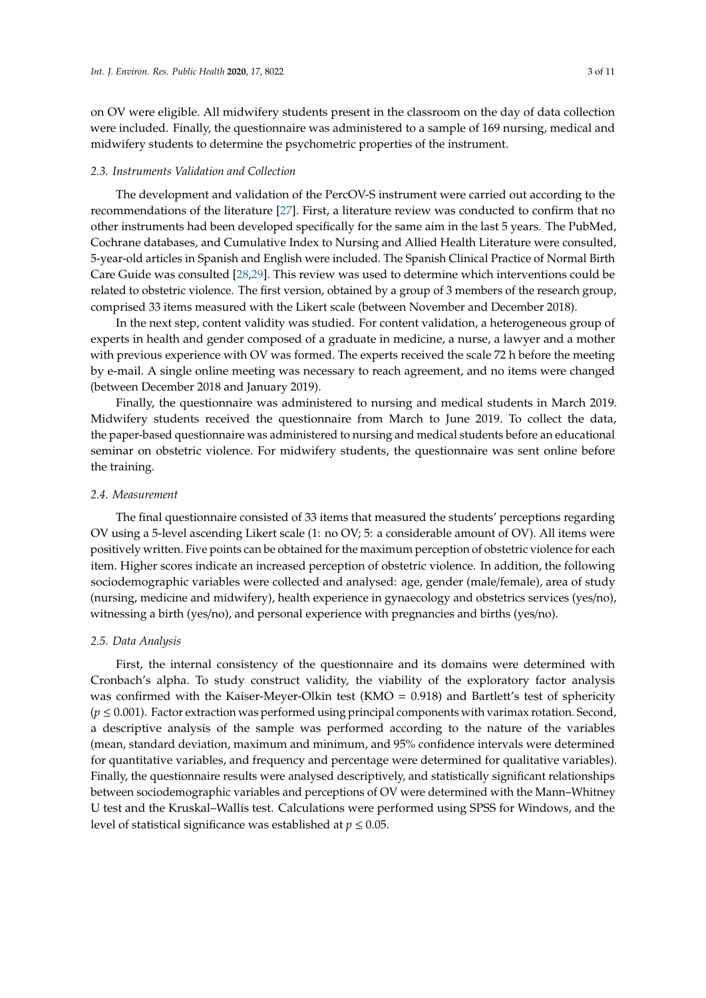on OV were eligible. All midwifery students present in the classroom on the day of data collection were included. Finally, the questionnaire was administered to a sample of 169 nursing, medical and midwifery students to determine the psychometric properties of the instrument.

#### *2.3. Instruments Validation and Collection*

The development and validation of the PercOV-S instrument were carried out according to the recommendations of the literature [\[27\]](#page-10-1). First, a literature review was conducted to confirm that no other instruments had been developed specifically for the same aim in the last 5 years. The PubMed, Cochrane databases, and Cumulative Index to Nursing and Allied Health Literature were consulted, 5-year-old articles in Spanish and English were included. The Spanish Clinical Practice of Normal Birth Care Guide was consulted [\[28,](#page-10-2)[29\]](#page-10-3). This review was used to determine which interventions could be related to obstetric violence. The first version, obtained by a group of 3 members of the research group, comprised 33 items measured with the Likert scale (between November and December 2018).

In the next step, content validity was studied. For content validation, a heterogeneous group of experts in health and gender composed of a graduate in medicine, a nurse, a lawyer and a mother with previous experience with OV was formed. The experts received the scale 72 h before the meeting by e-mail. A single online meeting was necessary to reach agreement, and no items were changed (between December 2018 and January 2019).

Finally, the questionnaire was administered to nursing and medical students in March 2019. Midwifery students received the questionnaire from March to June 2019. To collect the data, the paper-based questionnaire was administered to nursing and medical students before an educational seminar on obstetric violence. For midwifery students, the questionnaire was sent online before the training.

#### *2.4. Measurement*

The final questionnaire consisted of 33 items that measured the students' perceptions regarding OV using a 5-level ascending Likert scale (1: no OV; 5: a considerable amount of OV). All items were positively written. Five points can be obtained for the maximum perception of obstetric violence for each item. Higher scores indicate an increased perception of obstetric violence. In addition, the following sociodemographic variables were collected and analysed: age, gender (male/female), area of study (nursing, medicine and midwifery), health experience in gynaecology and obstetrics services (yes/no), witnessing a birth (yes/no), and personal experience with pregnancies and births (yes/no).

## *2.5. Data Analysis*

First, the internal consistency of the questionnaire and its domains were determined with Cronbach's alpha. To study construct validity, the viability of the exploratory factor analysis was confirmed with the Kaiser-Meyer-Olkin test (KMO =  $0.918$ ) and Bartlett's test of sphericity  $(p \le 0.001)$ . Factor extraction was performed using principal components with varimax rotation. Second, a descriptive analysis of the sample was performed according to the nature of the variables (mean, standard deviation, maximum and minimum, and 95% confidence intervals were determined for quantitative variables, and frequency and percentage were determined for qualitative variables). Finally, the questionnaire results were analysed descriptively, and statistically significant relationships between sociodemographic variables and perceptions of OV were determined with the Mann–Whitney U test and the Kruskal–Wallis test. Calculations were performed using SPSS for Windows, and the level of statistical significance was established at  $p \leq 0.05$ .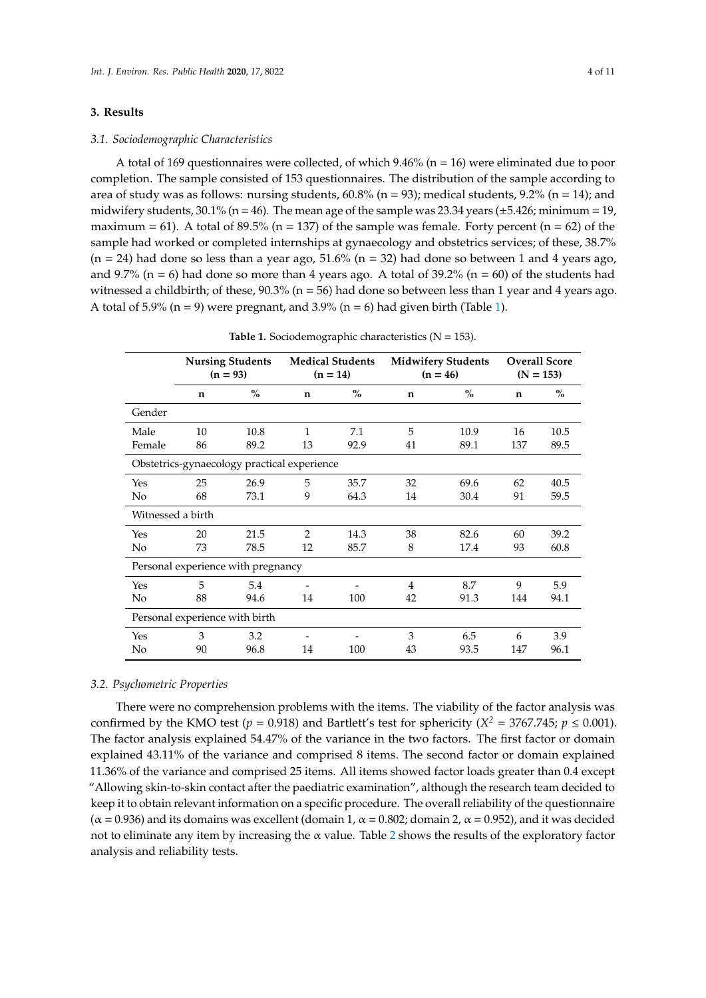## **3. Results**

#### *3.1. Sociodemographic Characteristics*

A total of 169 questionnaires were collected, of which 9.46% ( $n = 16$ ) were eliminated due to poor completion. The sample consisted of 153 questionnaires. The distribution of the sample according to area of study was as follows: nursing students,  $60.8\%$  (n = 93); medical students,  $9.2\%$  (n = 14); and midwifery students, 30.1% (n = 46). The mean age of the sample was 23.34 years ( $\pm$ 5.426; minimum = 19, maximum = 61). A total of 89.5% ( $n = 137$ ) of the sample was female. Forty percent ( $n = 62$ ) of the sample had worked or completed internships at gynaecology and obstetrics services; of these, 38.7%  $(n = 24)$  had done so less than a year ago, 51.6%  $(n = 32)$  had done so between 1 and 4 years ago, and 9.7% (n = 6) had done so more than 4 years ago. A total of 39.2% (n = 60) of the students had witnessed a childbirth; of these,  $90.3\%$  (n = 56) had done so between less than 1 year and 4 years ago. A total of 5.9% ( $n = 9$ ) were pregnant, and 3.9% ( $n = 6$ ) had given birth (Table [1\)](#page-3-0).

<span id="page-3-0"></span>

|                                    | <b>Nursing Students</b><br>$(n = 93)$ |                                             | <b>Medical Students</b><br>$(n = 14)$ |      |    | <b>Midwifery Students</b><br>$(n = 46)$ | <b>Overall Score</b><br>$(N = 153)$ |      |
|------------------------------------|---------------------------------------|---------------------------------------------|---------------------------------------|------|----|-----------------------------------------|-------------------------------------|------|
|                                    | n                                     | $\%$                                        | n                                     | $\%$ | n  | $\%$                                    | $\mathbf n$                         | $\%$ |
| Gender                             |                                       |                                             |                                       |      |    |                                         |                                     |      |
| Male                               | 10                                    | 10.8                                        | 1                                     | 7.1  | 5  | 10.9                                    | 16                                  | 10.5 |
| Female                             | 86                                    | 89.2                                        | 13                                    | 92.9 | 41 | 89.1                                    | 137                                 | 89.5 |
|                                    |                                       | Obstetrics-gynaecology practical experience |                                       |      |    |                                         |                                     |      |
| Yes                                | 25                                    | 26.9                                        | 5                                     | 35.7 | 32 | 69.6                                    | 62                                  | 40.5 |
| No                                 | 68                                    | 73.1                                        | 9                                     | 64.3 | 14 | 30.4                                    | 91                                  | 59.5 |
| Witnessed a birth                  |                                       |                                             |                                       |      |    |                                         |                                     |      |
| Yes                                | 20                                    | 21.5                                        | $\overline{2}$                        | 14.3 | 38 | 82.6                                    | 60                                  | 39.2 |
| No                                 | 73                                    | 78.5                                        | 12                                    | 85.7 | 8  | 17.4                                    | 93                                  | 60.8 |
| Personal experience with pregnancy |                                       |                                             |                                       |      |    |                                         |                                     |      |
| Yes                                | 5                                     | 5.4                                         |                                       |      | 4  | 8.7                                     | 9                                   | 5.9  |
| No                                 | 88                                    | 94.6                                        | 14                                    | 100  | 42 | 91.3                                    | 144                                 | 94.1 |
|                                    |                                       | Personal experience with birth              |                                       |      |    |                                         |                                     |      |
| Yes                                | 3                                     | 3.2                                         |                                       |      | 3  | 6.5                                     | 6                                   | 3.9  |
| No                                 | 90                                    | 96.8                                        | 14                                    | 100  | 43 | 93.5                                    | 147                                 | 96.1 |

|  |  |  | Table 1. Sociodemographic characteristics ( $N = 153$ ). |  |  |
|--|--|--|----------------------------------------------------------|--|--|
|--|--|--|----------------------------------------------------------|--|--|

#### *3.2. Psychometric Properties*

There were no comprehension problems with the items. The viability of the factor analysis was confirmed by the KMO test ( $p = 0.918$ ) and Bartlett's test for sphericity ( $X^2 = 3767.745$ ;  $p \le 0.001$ ). The factor analysis explained 54.47% of the variance in the two factors. The first factor or domain explained 43.11% of the variance and comprised 8 items. The second factor or domain explained 11.36% of the variance and comprised 25 items. All items showed factor loads greater than 0.4 except "Allowing skin-to-skin contact after the paediatric examination", although the research team decided to keep it to obtain relevant information on a specific procedure. The overall reliability of the questionnaire  $(\alpha = 0.936)$  and its domains was excellent (domain 1,  $\alpha = 0.802$ ; domain 2,  $\alpha = 0.952$ ), and it was decided not to eliminate any item by increasing the  $\alpha$  value. Table [2](#page-4-0) shows the results of the exploratory factor analysis and reliability tests.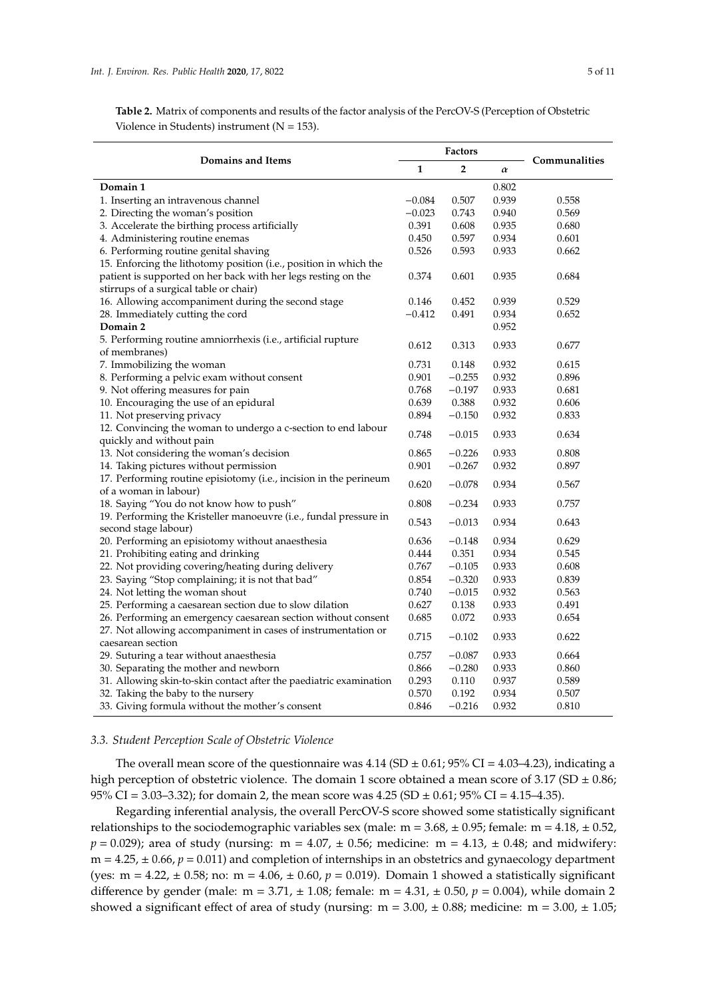<span id="page-4-0"></span>

| <b>Table 2.</b> Matrix of components and results of the factor analysis of the PercOV-S (Perception of Obstetric |  |  |
|------------------------------------------------------------------------------------------------------------------|--|--|
| Violence in Students) instrument ( $N = 153$ ).                                                                  |  |  |

| Domains and Items                                                  |          | <b>Factors</b> | Communalities |       |
|--------------------------------------------------------------------|----------|----------------|---------------|-------|
|                                                                    | 1        | 2              | $\alpha$      |       |
| Domain 1                                                           |          |                | 0.802         |       |
| 1. Inserting an intravenous channel                                | $-0.084$ | 0.507          | 0.939         | 0.558 |
| 2. Directing the woman's position                                  | $-0.023$ | 0.743          | 0.940         | 0.569 |
| 3. Accelerate the birthing process artificially                    | 0.391    | 0.608          | 0.935         | 0.680 |
| 4. Administering routine enemas                                    | 0.450    | 0.597          | 0.934         | 0.601 |
| 6. Performing routine genital shaving                              | 0.526    | 0.593          | 0.933         | 0.662 |
| 15. Enforcing the lithotomy position (i.e., position in which the  |          |                |               |       |
| patient is supported on her back with her legs resting on the      | 0.374    | 0.601          | 0.935         | 0.684 |
| stirrups of a surgical table or chair)                             |          |                |               |       |
| 16. Allowing accompaniment during the second stage                 | 0.146    | 0.452          | 0.939         | 0.529 |
| 28. Immediately cutting the cord                                   | $-0.412$ | 0.491          | 0.934         | 0.652 |
| Domain 2                                                           |          |                | 0.952         |       |
| 5. Performing routine amniorrhexis (i.e., artificial rupture       |          |                |               |       |
| of membranes)                                                      | 0.612    | 0.313          | 0.933         | 0.677 |
| 7. Immobilizing the woman                                          | 0.731    | 0.148          | 0.932         | 0.615 |
| 8. Performing a pelvic exam without consent                        | 0.901    | $-0.255$       | 0.932         | 0.896 |
| 9. Not offering measures for pain                                  | 0.768    | $-0.197$       | 0.933         | 0.681 |
| 10. Encouraging the use of an epidural                             | 0.639    | 0.388          | 0.932         | 0.606 |
| 11. Not preserving privacy                                         | 0.894    | $-0.150$       | 0.932         | 0.833 |
| 12. Convincing the woman to undergo a c-section to end labour      |          |                |               |       |
| quickly and without pain                                           | 0.748    | $-0.015$       | 0.933         | 0.634 |
| 13. Not considering the woman's decision                           | 0.865    | $-0.226$       | 0.933         | 0.808 |
| 14. Taking pictures without permission                             | 0.901    | $-0.267$       | 0.932         | 0.897 |
| 17. Performing routine episiotomy (i.e., incision in the perineum  |          |                |               |       |
| of a woman in labour)                                              | 0.620    | $-0.078$       | 0.934         | 0.567 |
| 18. Saying "You do not know how to push"                           | 0.808    | $-0.234$       | 0.933         | 0.757 |
| 19. Performing the Kristeller manoeuvre (i.e., fundal pressure in  |          |                |               |       |
| second stage labour)                                               | 0.543    | $-0.013$       | 0.934         | 0.643 |
| 20. Performing an episiotomy without anaesthesia                   | 0.636    | $-0.148$       | 0.934         | 0.629 |
| 21. Prohibiting eating and drinking                                | 0.444    | 0.351          | 0.934         | 0.545 |
| 22. Not providing covering/heating during delivery                 | 0.767    | $-0.105$       | 0.933         | 0.608 |
| 23. Saying "Stop complaining; it is not that bad"                  | 0.854    | $-0.320$       | 0.933         | 0.839 |
| 24. Not letting the woman shout                                    | 0.740    | $-0.015$       | 0.932         | 0.563 |
| 25. Performing a caesarean section due to slow dilation            | 0.627    | 0.138          | 0.933         | 0.491 |
| 26. Performing an emergency caesarean section without consent      | 0.685    | 0.072          | 0.933         | 0.654 |
| 27. Not allowing accompaniment in cases of instrumentation or      |          |                |               |       |
| caesarean section                                                  | 0.715    | $-0.102$       | 0.933         | 0.622 |
| 29. Suturing a tear without anaesthesia                            | 0.757    | $-0.087$       | 0.933         | 0.664 |
| 30. Separating the mother and newborn                              | 0.866    | $-0.280$       | 0.933         | 0.860 |
| 31. Allowing skin-to-skin contact after the paediatric examination | 0.293    | 0.110          | 0.937         | 0.589 |
| 32. Taking the baby to the nursery                                 | 0.570    | 0.192          | 0.934         | 0.507 |
| 33. Giving formula without the mother's consent                    | 0.846    | $-0.216$       | 0.932         | 0.810 |

## *3.3. Student Perception Scale of Obstetric Violence*

The overall mean score of the questionnaire was  $4.14$  (SD  $\pm$  0.61; 95% CI = 4.03–4.23), indicating a high perception of obstetric violence. The domain 1 score obtained a mean score of 3.17 (SD  $\pm$  0.86; 95% CI = 3.03–3.32); for domain 2, the mean score was 4.25 (SD  $\pm$  0.61; 95% CI = 4.15–4.35).

Regarding inferential analysis, the overall PercOV-S score showed some statistically significant relationships to the sociodemographic variables sex (male:  $m = 3.68$ ,  $\pm$  0.95; female:  $m = 4.18$ ,  $\pm$  0.52,  $p = 0.029$ ; area of study (nursing: m = 4.07,  $\pm$  0.56; medicine: m = 4.13,  $\pm$  0.48; and midwifery:  $m = 4.25$ ,  $\pm 0.66$ ,  $p = 0.011$ ) and completion of internships in an obstetrics and gynaecology department (yes: m = 4.22,  $\pm$  0.58; no: m = 4.06,  $\pm$  0.60,  $p$  = 0.019). Domain 1 showed a statistically significant difference by gender (male: m = 3.71,  $\pm$  1.08; female: m = 4.31,  $\pm$  0.50,  $p$  = 0.004), while domain 2 showed a significant effect of area of study (nursing:  $m = 3.00, \pm 0.88$ ; medicine:  $m = 3.00, \pm 1.05$ ;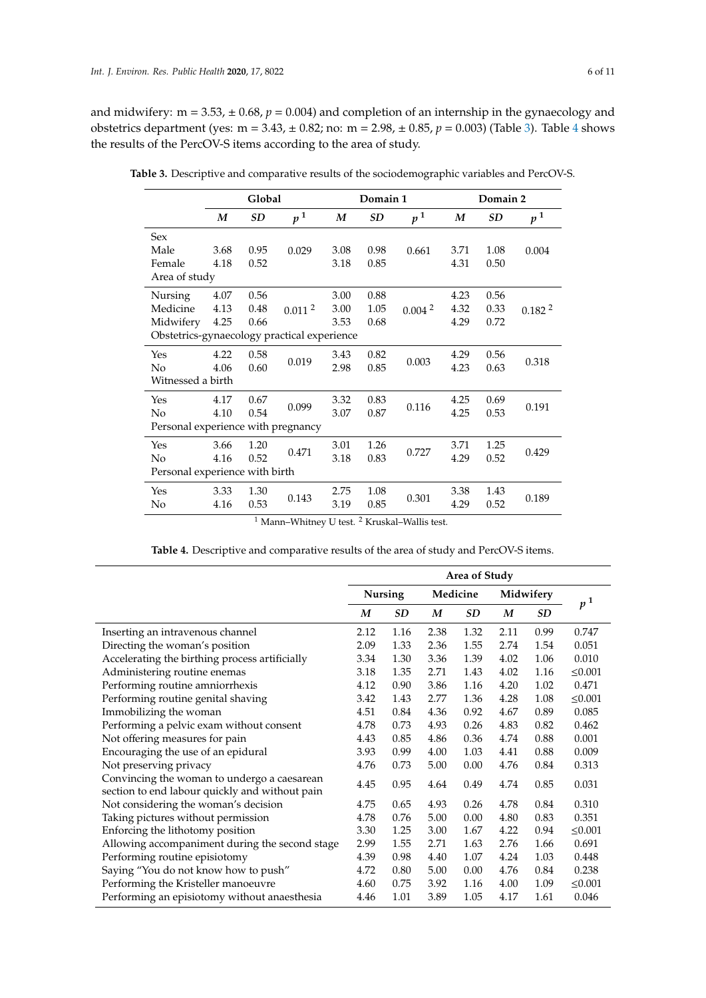and midwifery:  $m = 3.53$ ,  $\pm 0.68$ ,  $p = 0.004$ ) and completion of an internship in the gynaecology and obstetrics department (yes: m = 3.43, ± 0.82; no: m = 2.98, ± 0.85, *p* = 0.003) (Table [3\)](#page-5-0). Table [4](#page-5-1) shows the results of the PercOV-S items according to the area of study.

|                                             | Global           |           |                    |      | Domain 1 |                    | Domain 2 |      |                    |  |
|---------------------------------------------|------------------|-----------|--------------------|------|----------|--------------------|----------|------|--------------------|--|
|                                             | $\boldsymbol{M}$ | <b>SD</b> | p <sup>1</sup>     | M    | SD       | p <sup>1</sup>     | M        | SD   | p <sup>1</sup>     |  |
| <b>Sex</b>                                  |                  |           |                    |      |          |                    |          |      |                    |  |
| Male                                        | 3.68             | 0.95      | 0.029              | 3.08 | 0.98     | 0.661              | 3.71     | 1.08 | 0.004              |  |
| Female                                      | 4.18             | 0.52      |                    | 3.18 | 0.85     |                    | 4.31     | 0.50 |                    |  |
| Area of study                               |                  |           |                    |      |          |                    |          |      |                    |  |
| Nursing                                     | 4.07             | 0.56      |                    | 3.00 | 0.88     |                    | 4.23     | 0.56 |                    |  |
| Medicine                                    | 4.13             | 0.48      | 0.011 <sup>2</sup> | 3.00 | 1.05     | 0.004 <sup>2</sup> | 4.32     | 0.33 | 0.182 <sup>2</sup> |  |
| Midwifery                                   | 4.25             | 0.66      |                    | 3.53 | 0.68     |                    | 4.29     | 0.72 |                    |  |
| Obstetrics-gynaecology practical experience |                  |           |                    |      |          |                    |          |      |                    |  |
| Yes                                         | 4.22             | 0.58      |                    | 3.43 | 0.82     |                    | 4.29     | 0.56 |                    |  |
| No                                          | 4.06             | 0.60      | 0.019              | 2.98 | 0.85     | 0.003              | 4.23     | 0.63 | 0.318              |  |
| Witnessed a birth                           |                  |           |                    |      |          |                    |          |      |                    |  |
| Yes                                         | 4.17             | 0.67      |                    | 3.32 | 0.83     |                    | 4.25     | 0.69 |                    |  |
| No                                          | 4.10             | 0.54      | 0.099              | 3.07 | 0.87     | 0.116              | 4.25     | 0.53 | 0.191              |  |
| Personal experience with pregnancy          |                  |           |                    |      |          |                    |          |      |                    |  |
| Yes                                         | 3.66             | 1.20      |                    | 3.01 | 1.26     |                    | 3.71     | 1.25 |                    |  |
| No                                          | 4.16             | 0.52      | 0.471              | 3.18 | 0.83     | 0.727              | 4.29     | 0.52 | 0.429              |  |
| Personal experience with birth              |                  |           |                    |      |          |                    |          |      |                    |  |
| Yes                                         | 3.33             | 1.30      |                    | 2.75 | 1.08     |                    | 3.38     | 1.43 |                    |  |
| No                                          | 4.16             | 0.53      | 0.143              | 3.19 | 0.85     | 0.301              | 4.29     | 0.52 | 0.189              |  |

<span id="page-5-0"></span>**Table 3.** Descriptive and comparative results of the sociodemographic variables and PercOV-S.

<sup>1</sup> Mann–Whitney U test. <sup>2</sup> Kruskal–Wallis test.

**Table 4.** Descriptive and comparative results of the area of study and PercOV-S items.

<span id="page-5-1"></span>

|                                                                                               | <b>Area of Study</b> |      |      |          |      |           |              |
|-----------------------------------------------------------------------------------------------|----------------------|------|------|----------|------|-----------|--------------|
|                                                                                               | <b>Nursing</b>       |      |      | Medicine |      | Midwifery | $p^1$        |
|                                                                                               | M                    | SD   | M    | SD       | M    | SD        |              |
| Inserting an intravenous channel                                                              | 2.12                 | 1.16 | 2.38 | 1.32     | 2.11 | 0.99      | 0.747        |
| Directing the woman's position                                                                | 2.09                 | 1.33 | 2.36 | 1.55     | 2.74 | 1.54      | 0.051        |
| Accelerating the birthing process artificially                                                | 3.34                 | 1.30 | 3.36 | 1.39     | 4.02 | 1.06      | 0.010        |
| Administering routine enemas                                                                  | 3.18                 | 1.35 | 2.71 | 1.43     | 4.02 | 1.16      | $\leq 0.001$ |
| Performing routine amniorrhexis                                                               | 4.12                 | 0.90 | 3.86 | 1.16     | 4.20 | 1.02      | 0.471        |
| Performing routine genital shaving                                                            | 3.42                 | 1.43 | 2.77 | 1.36     | 4.28 | 1.08      | $\leq 0.001$ |
| Immobilizing the woman                                                                        | 4.51                 | 0.84 | 4.36 | 0.92     | 4.67 | 0.89      | 0.085        |
| Performing a pelvic exam without consent                                                      | 4.78                 | 0.73 | 4.93 | 0.26     | 4.83 | 0.82      | 0.462        |
| Not offering measures for pain                                                                | 4.43                 | 0.85 | 4.86 | 0.36     | 4.74 | 0.88      | 0.001        |
| Encouraging the use of an epidural                                                            | 3.93                 | 0.99 | 4.00 | 1.03     | 4.41 | 0.88      | 0.009        |
| Not preserving privacy                                                                        | 4.76                 | 0.73 | 5.00 | 0.00     | 4.76 | 0.84      | 0.313        |
| Convincing the woman to undergo a caesarean<br>section to end labour quickly and without pain | 4.45                 | 0.95 | 4.64 | 0.49     | 4.74 | 0.85      | 0.031        |
| Not considering the woman's decision                                                          | 4.75                 | 0.65 | 4.93 | 0.26     | 4.78 | 0.84      | 0.310        |
| Taking pictures without permission                                                            | 4.78                 | 0.76 | 5.00 | 0.00     | 4.80 | 0.83      | 0.351        |
| Enforcing the lithotomy position                                                              | 3.30                 | 1.25 | 3.00 | 1.67     | 4.22 | 0.94      | $\leq 0.001$ |
| Allowing accompaniment during the second stage                                                | 2.99                 | 1.55 | 2.71 | 1.63     | 2.76 | 1.66      | 0.691        |
| Performing routine episiotomy                                                                 | 4.39                 | 0.98 | 4.40 | 1.07     | 4.24 | 1.03      | 0.448        |
| Saying "You do not know how to push"                                                          | 4.72                 | 0.80 | 5.00 | 0.00     | 4.76 | 0.84      | 0.238        |
| Performing the Kristeller manoeuvre                                                           | 4.60                 | 0.75 | 3.92 | 1.16     | 4.00 | 1.09      | $\leq 0.001$ |
| Performing an episiotomy without anaesthesia                                                  | 4.46                 | 1.01 | 3.89 | 1.05     | 4.17 | 1.61      | 0.046        |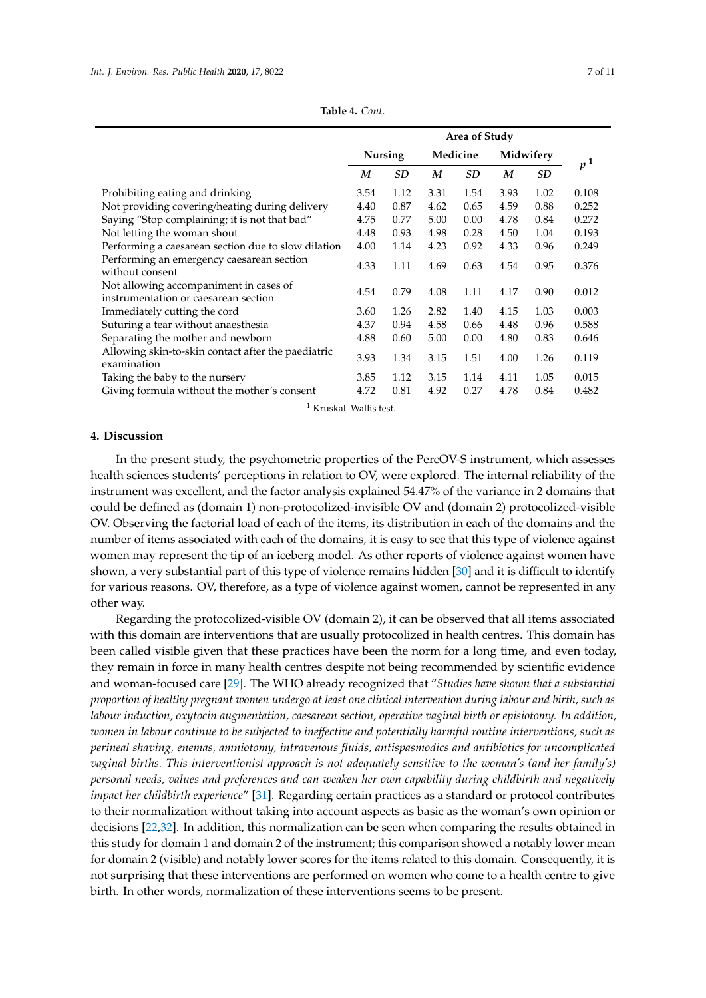|                                                                                | Area of Study  |           |      |          |      |           |                |
|--------------------------------------------------------------------------------|----------------|-----------|------|----------|------|-----------|----------------|
|                                                                                | <b>Nursing</b> |           |      | Medicine |      | Midwifery | p <sup>1</sup> |
|                                                                                | M              | <b>SD</b> | M    | SD       | M    | <b>SD</b> |                |
| Prohibiting eating and drinking                                                | 3.54           | 1.12      | 3.31 | 1.54     | 3.93 | 1.02      | 0.108          |
| Not providing covering/heating during delivery                                 | 4.40           | 0.87      | 4.62 | 0.65     | 4.59 | 0.88      | 0.252          |
| Saying "Stop complaining; it is not that bad"                                  | 4.75           | 0.77      | 5.00 | 0.00     | 4.78 | 0.84      | 0.272          |
| Not letting the woman shout                                                    | 4.48           | 0.93      | 4.98 | 0.28     | 4.50 | 1.04      | 0.193          |
| Performing a caesarean section due to slow dilation                            | 4.00           | 1.14      | 4.23 | 0.92     | 4.33 | 0.96      | 0.249          |
| Performing an emergency caesarean section<br>without consent                   | 4.33           | 1.11      | 4.69 | 0.63     | 4.54 | 0.95      | 0.376          |
| Not allowing accompaniment in cases of<br>instrumentation or caesarean section | 4.54           | 0.79      | 4.08 | 1.11     | 4.17 | 0.90      | 0.012          |
| Immediately cutting the cord                                                   | 3.60           | 1.26      | 2.82 | 1.40     | 4.15 | 1.03      | 0.003          |
| Suturing a tear without anaesthesia                                            | 4.37           | 0.94      | 4.58 | 0.66     | 4.48 | 0.96      | 0.588          |
| Separating the mother and newborn                                              | 4.88           | 0.60      | 5.00 | 0.00     | 4.80 | 0.83      | 0.646          |
| Allowing skin-to-skin contact after the paediatric<br>examination              | 3.93           | 1.34      | 3.15 | 1.51     | 4.00 | 1.26      | 0.119          |
| Taking the baby to the nursery                                                 | 3.85           | 1.12      | 3.15 | 1.14     | 4.11 | 1.05      | 0.015          |
| Giving formula without the mother's consent                                    | 4.72           | 0.81      | 4.92 | 0.27     | 4.78 | 0.84      | 0.482          |

**Table 4.** *Cont.*

<sup>1</sup> Kruskal–Wallis test.

## **4. Discussion**

In the present study, the psychometric properties of the PercOV-S instrument, which assesses health sciences students' perceptions in relation to OV, were explored. The internal reliability of the instrument was excellent, and the factor analysis explained 54.47% of the variance in 2 domains that could be defined as (domain 1) non-protocolized-invisible OV and (domain 2) protocolized-visible OV. Observing the factorial load of each of the items, its distribution in each of the domains and the number of items associated with each of the domains, it is easy to see that this type of violence against women may represent the tip of an iceberg model. As other reports of violence against women have shown, a very substantial part of this type of violence remains hidden [\[30\]](#page-10-4) and it is difficult to identify for various reasons. OV, therefore, as a type of violence against women, cannot be represented in any other way.

Regarding the protocolized-visible OV (domain 2), it can be observed that all items associated with this domain are interventions that are usually protocolized in health centres. This domain has been called visible given that these practices have been the norm for a long time, and even today, they remain in force in many health centres despite not being recommended by scientific evidence and woman-focused care [\[29\]](#page-10-3). The WHO already recognized that "*Studies have shown that a substantial proportion of healthy pregnant women undergo at least one clinical intervention during labour and birth, such as labour induction, oxytocin augmentation, caesarean section, operative vaginal birth or episiotomy. In addition, women in labour continue to be subjected to ine*ff*ective and potentially harmful routine interventions, such as perineal shaving, enemas, amniotomy, intravenous fluids, antispasmodics and antibiotics for uncomplicated vaginal births. This interventionist approach is not adequately sensitive to the woman's (and her family's) personal needs, values and preferences and can weaken her own capability during childbirth and negatively impact her childbirth experience*" [\[31\]](#page-10-5). Regarding certain practices as a standard or protocol contributes to their normalization without taking into account aspects as basic as the woman's own opinion or decisions [\[22](#page-9-16)[,32\]](#page-10-6). In addition, this normalization can be seen when comparing the results obtained in this study for domain 1 and domain 2 of the instrument; this comparison showed a notably lower mean for domain 2 (visible) and notably lower scores for the items related to this domain. Consequently, it is not surprising that these interventions are performed on women who come to a health centre to give birth. In other words, normalization of these interventions seems to be present.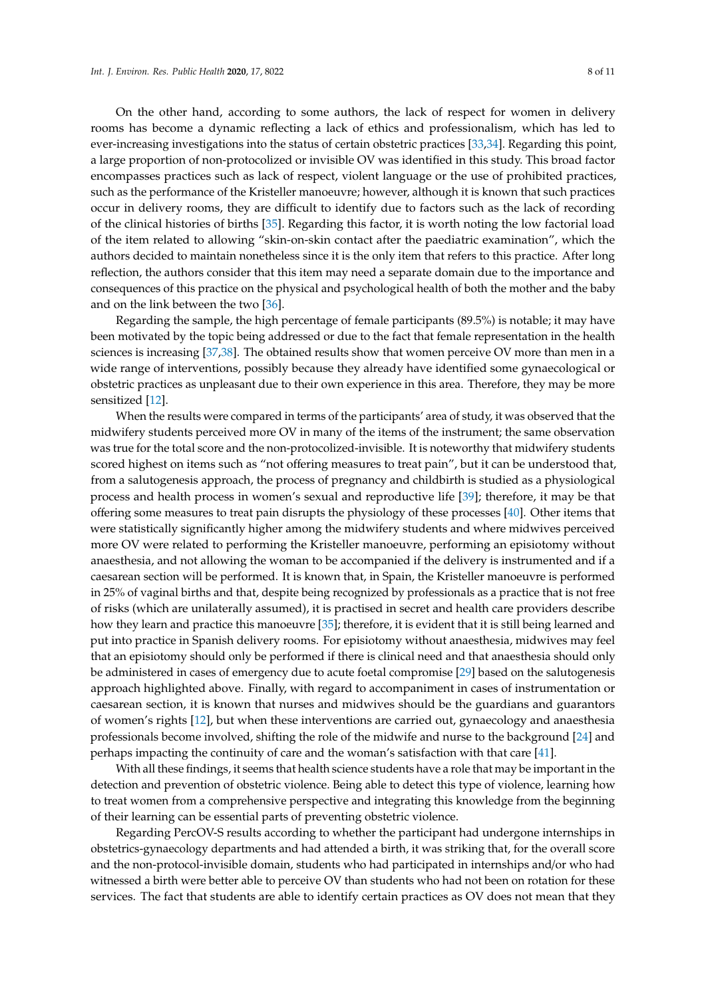On the other hand, according to some authors, the lack of respect for women in delivery rooms has become a dynamic reflecting a lack of ethics and professionalism, which has led to ever-increasing investigations into the status of certain obstetric practices [\[33](#page-10-7)[,34\]](#page-10-8). Regarding this point, a large proportion of non-protocolized or invisible OV was identified in this study. This broad factor encompasses practices such as lack of respect, violent language or the use of prohibited practices, such as the performance of the Kristeller manoeuvre; however, although it is known that such practices occur in delivery rooms, they are difficult to identify due to factors such as the lack of recording of the clinical histories of births [\[35\]](#page-10-9). Regarding this factor, it is worth noting the low factorial load of the item related to allowing "skin-on-skin contact after the paediatric examination", which the authors decided to maintain nonetheless since it is the only item that refers to this practice. After long reflection, the authors consider that this item may need a separate domain due to the importance and consequences of this practice on the physical and psychological health of both the mother and the baby and on the link between the two [\[36\]](#page-10-10).

Regarding the sample, the high percentage of female participants (89.5%) is notable; it may have been motivated by the topic being addressed or due to the fact that female representation in the health sciences is increasing [\[37](#page-10-11)[,38\]](#page-10-12). The obtained results show that women perceive OV more than men in a wide range of interventions, possibly because they already have identified some gynaecological or obstetric practices as unpleasant due to their own experience in this area. Therefore, they may be more sensitized [\[12\]](#page-9-6).

When the results were compared in terms of the participants' area of study, it was observed that the midwifery students perceived more OV in many of the items of the instrument; the same observation was true for the total score and the non-protocolized-invisible. It is noteworthy that midwifery students scored highest on items such as "not offering measures to treat pain", but it can be understood that, from a salutogenesis approach, the process of pregnancy and childbirth is studied as a physiological process and health process in women's sexual and reproductive life [\[39\]](#page-10-13); therefore, it may be that offering some measures to treat pain disrupts the physiology of these processes [\[40\]](#page-10-14). Other items that were statistically significantly higher among the midwifery students and where midwives perceived more OV were related to performing the Kristeller manoeuvre, performing an episiotomy without anaesthesia, and not allowing the woman to be accompanied if the delivery is instrumented and if a caesarean section will be performed. It is known that, in Spain, the Kristeller manoeuvre is performed in 25% of vaginal births and that, despite being recognized by professionals as a practice that is not free of risks (which are unilaterally assumed), it is practised in secret and health care providers describe how they learn and practice this manoeuvre [\[35\]](#page-10-9); therefore, it is evident that it is still being learned and put into practice in Spanish delivery rooms. For episiotomy without anaesthesia, midwives may feel that an episiotomy should only be performed if there is clinical need and that anaesthesia should only be administered in cases of emergency due to acute foetal compromise [\[29\]](#page-10-3) based on the salutogenesis approach highlighted above. Finally, with regard to accompaniment in cases of instrumentation or caesarean section, it is known that nurses and midwives should be the guardians and guarantors of women's rights [\[12\]](#page-9-6), but when these interventions are carried out, gynaecology and anaesthesia professionals become involved, shifting the role of the midwife and nurse to the background [\[24\]](#page-9-18) and perhaps impacting the continuity of care and the woman's satisfaction with that care [\[41\]](#page-10-15).

With all these findings, it seems that health science students have a role that may be important in the detection and prevention of obstetric violence. Being able to detect this type of violence, learning how to treat women from a comprehensive perspective and integrating this knowledge from the beginning of their learning can be essential parts of preventing obstetric violence.

Regarding PercOV-S results according to whether the participant had undergone internships in obstetrics-gynaecology departments and had attended a birth, it was striking that, for the overall score and the non-protocol-invisible domain, students who had participated in internships and/or who had witnessed a birth were better able to perceive OV than students who had not been on rotation for these services. The fact that students are able to identify certain practices as OV does not mean that they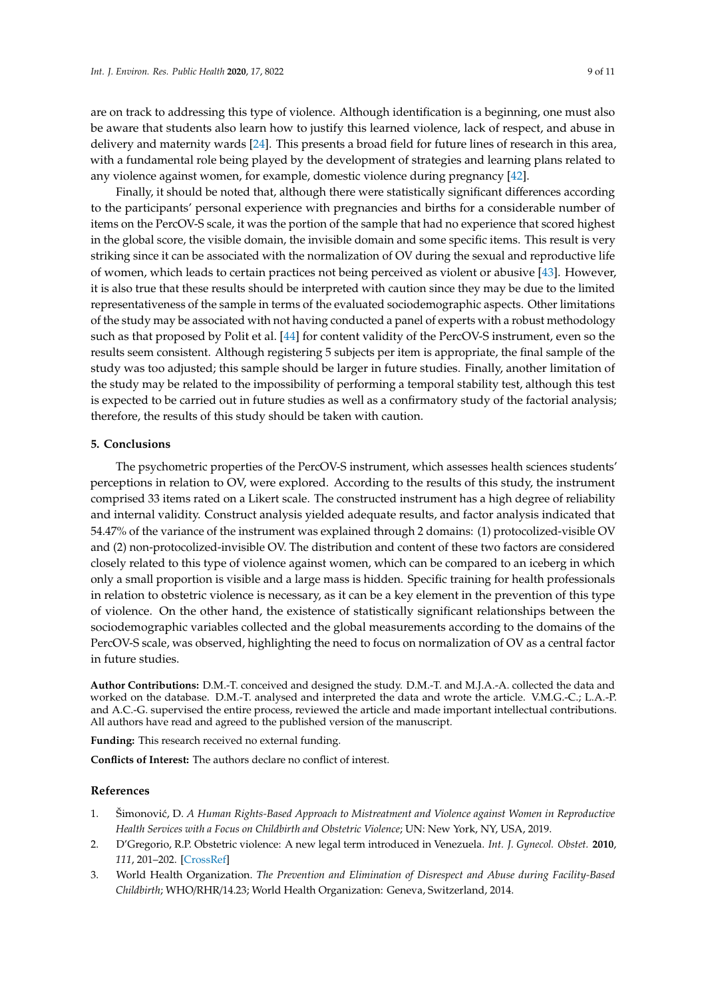are on track to addressing this type of violence. Although identification is a beginning, one must also be aware that students also learn how to justify this learned violence, lack of respect, and abuse in delivery and maternity wards [\[24\]](#page-9-18). This presents a broad field for future lines of research in this area, with a fundamental role being played by the development of strategies and learning plans related to any violence against women, for example, domestic violence during pregnancy [\[42\]](#page-10-16).

Finally, it should be noted that, although there were statistically significant differences according to the participants' personal experience with pregnancies and births for a considerable number of items on the PercOV-S scale, it was the portion of the sample that had no experience that scored highest in the global score, the visible domain, the invisible domain and some specific items. This result is very striking since it can be associated with the normalization of OV during the sexual and reproductive life of women, which leads to certain practices not being perceived as violent or abusive [\[43\]](#page-10-17). However, it is also true that these results should be interpreted with caution since they may be due to the limited representativeness of the sample in terms of the evaluated sociodemographic aspects. Other limitations of the study may be associated with not having conducted a panel of experts with a robust methodology such as that proposed by Polit et al. [\[44\]](#page-10-18) for content validity of the PercOV-S instrument, even so the results seem consistent. Although registering 5 subjects per item is appropriate, the final sample of the study was too adjusted; this sample should be larger in future studies. Finally, another limitation of the study may be related to the impossibility of performing a temporal stability test, although this test is expected to be carried out in future studies as well as a confirmatory study of the factorial analysis; therefore, the results of this study should be taken with caution.

## **5. Conclusions**

The psychometric properties of the PercOV-S instrument, which assesses health sciences students' perceptions in relation to OV, were explored. According to the results of this study, the instrument comprised 33 items rated on a Likert scale. The constructed instrument has a high degree of reliability and internal validity. Construct analysis yielded adequate results, and factor analysis indicated that 54.47% of the variance of the instrument was explained through 2 domains: (1) protocolized-visible OV and (2) non-protocolized-invisible OV. The distribution and content of these two factors are considered closely related to this type of violence against women, which can be compared to an iceberg in which only a small proportion is visible and a large mass is hidden. Specific training for health professionals in relation to obstetric violence is necessary, as it can be a key element in the prevention of this type of violence. On the other hand, the existence of statistically significant relationships between the sociodemographic variables collected and the global measurements according to the domains of the PercOV-S scale, was observed, highlighting the need to focus on normalization of OV as a central factor in future studies.

**Author Contributions:** D.M.-T. conceived and designed the study. D.M.-T. and M.J.A.-A. collected the data and worked on the database. D.M.-T. analysed and interpreted the data and wrote the article. V.M.G.-C.; L.A.-P. and A.C.-G. supervised the entire process, reviewed the article and made important intellectual contributions. All authors have read and agreed to the published version of the manuscript.

**Funding:** This research received no external funding.

**Conflicts of Interest:** The authors declare no conflict of interest.

#### **References**

- <span id="page-8-0"></span>1. Šimonovi´c, D. *A Human Rights-Based Approach to Mistreatment and Violence against Women in Reproductive Health Services with a Focus on Childbirth and Obstetric Violence*; UN: New York, NY, USA, 2019.
- <span id="page-8-1"></span>2. D'Gregorio, R.P. Obstetric violence: A new legal term introduced in Venezuela. *Int. J. Gynecol. Obstet.* **2010**, *111*, 201–202. [\[CrossRef\]](http://dx.doi.org/10.1016/j.ijgo.2010.09.002)
- <span id="page-8-2"></span>3. World Health Organization. *The Prevention and Elimination of Disrespect and Abuse during Facility-Based Childbirth*; WHO/RHR/14.23; World Health Organization: Geneva, Switzerland, 2014.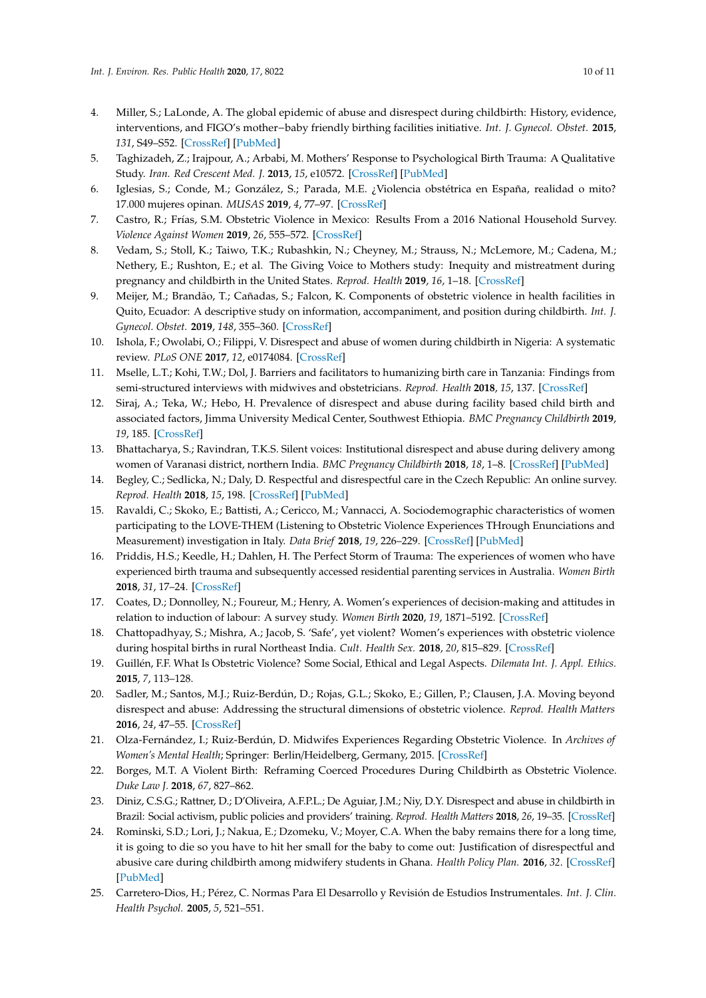- <span id="page-9-0"></span>4. Miller, S.; LaLonde, A. The global epidemic of abuse and disrespect during childbirth: History, evidence, interventions, and FIGO's mother−baby friendly birthing facilities initiative. *Int. J. Gynecol. Obstet.* **2015**, *131*, S49–S52. [\[CrossRef\]](http://dx.doi.org/10.1016/j.ijgo.2015.02.005) [\[PubMed\]](http://www.ncbi.nlm.nih.gov/pubmed/26433506)
- <span id="page-9-1"></span>5. Taghizadeh, Z.; Irajpour, A.; Arbabi, M. Mothers' Response to Psychological Birth Trauma: A Qualitative Study. *Iran. Red Crescent Med. J.* **2013**, *15*, e10572. [\[CrossRef\]](http://dx.doi.org/10.5812/ircmj.10572) [\[PubMed\]](http://www.ncbi.nlm.nih.gov/pubmed/24693361)
- <span id="page-9-2"></span>6. Iglesias, S.; Conde, M.; González, S.; Parada, M.E. ¿Violencia obstétrica en España, realidad o mito? 17.000 mujeres opinan. *MUSAS* **2019**, *4*, 77–97. [\[CrossRef\]](http://dx.doi.org/10.1344/musas2019.vol4.num1.5)
- <span id="page-9-3"></span>7. Castro, R.; Frías, S.M. Obstetric Violence in Mexico: Results From a 2016 National Household Survey. *Violence Against Women* **2019**, *26*, 555–572. [\[CrossRef\]](http://dx.doi.org/10.1177/1077801219836732)
- 8. Vedam, S.; Stoll, K.; Taiwo, T.K.; Rubashkin, N.; Cheyney, M.; Strauss, N.; McLemore, M.; Cadena, M.; Nethery, E.; Rushton, E.; et al. The Giving Voice to Mothers study: Inequity and mistreatment during pregnancy and childbirth in the United States. *Reprod. Health* **2019**, *16*, 1–18. [\[CrossRef\]](http://dx.doi.org/10.1186/s12978-019-0729-2)
- <span id="page-9-4"></span>9. Meijer, M.; Brandão, T.; Cañadas, S.; Falcon, K. Components of obstetric violence in health facilities in Quito, Ecuador: A descriptive study on information, accompaniment, and position during childbirth. *Int. J. Gynecol. Obstet.* **2019**, *148*, 355–360. [\[CrossRef\]](http://dx.doi.org/10.1002/ijgo.13075)
- <span id="page-9-5"></span>10. Ishola, F.; Owolabi, O.; Filippi, V. Disrespect and abuse of women during childbirth in Nigeria: A systematic review. *PLoS ONE* **2017**, *12*, e0174084. [\[CrossRef\]](http://dx.doi.org/10.1371/journal.pone.0174084)
- 11. Mselle, L.T.; Kohi, T.W.; Dol, J. Barriers and facilitators to humanizing birth care in Tanzania: Findings from semi-structured interviews with midwives and obstetricians. *Reprod. Health* **2018**, *15*, 137. [\[CrossRef\]](http://dx.doi.org/10.1186/s12978-018-0583-7)
- <span id="page-9-6"></span>12. Siraj, A.; Teka, W.; Hebo, H. Prevalence of disrespect and abuse during facility based child birth and associated factors, Jimma University Medical Center, Southwest Ethiopia. *BMC Pregnancy Childbirth* **2019**, *19*, 185. [\[CrossRef\]](http://dx.doi.org/10.1186/s12884-019-2332-5)
- <span id="page-9-7"></span>13. Bhattacharya, S.; Ravindran, T.K.S. Silent voices: Institutional disrespect and abuse during delivery among women of Varanasi district, northern India. *BMC Pregnancy Childbirth* **2018**, *18*, 1–8. [\[CrossRef\]](http://dx.doi.org/10.1186/s12884-018-1970-3) [\[PubMed\]](http://www.ncbi.nlm.nih.gov/pubmed/30126357)
- <span id="page-9-8"></span>14. Begley, C.; Sedlicka, N.; Daly, D. Respectful and disrespectful care in the Czech Republic: An online survey. *Reprod. Health* **2018**, *15*, 198. [\[CrossRef\]](http://dx.doi.org/10.1186/s12978-018-0648-7) [\[PubMed\]](http://www.ncbi.nlm.nih.gov/pubmed/30514394)
- <span id="page-9-9"></span>15. Ravaldi, C.; Skoko, E.; Battisti, A.; Cericco, M.; Vannacci, A. Sociodemographic characteristics of women participating to the LOVE-THEM (Listening to Obstetric Violence Experiences THrough Enunciations and Measurement) investigation in Italy. *Data Brief* **2018**, *19*, 226–229. [\[CrossRef\]](http://dx.doi.org/10.1016/j.dib.2018.04.146) [\[PubMed\]](http://www.ncbi.nlm.nih.gov/pubmed/29892637)
- <span id="page-9-10"></span>16. Priddis, H.S.; Keedle, H.; Dahlen, H. The Perfect Storm of Trauma: The experiences of women who have experienced birth trauma and subsequently accessed residential parenting services in Australia. *Women Birth* **2018**, *31*, 17–24. [\[CrossRef\]](http://dx.doi.org/10.1016/j.wombi.2017.06.007)
- <span id="page-9-11"></span>17. Coates, D.; Donnolley, N.; Foureur, M.; Henry, A. Women's experiences of decision-making and attitudes in relation to induction of labour: A survey study. *Women Birth* **2020**, *19*, 1871–5192. [\[CrossRef\]](http://dx.doi.org/10.1016/j.wombi.2020.02.020)
- <span id="page-9-12"></span>18. Chattopadhyay, S.; Mishra, A.; Jacob, S. 'Safe', yet violent? Women's experiences with obstetric violence during hospital births in rural Northeast India. *Cult. Health Sex.* **2018**, *20*, 815–829. [\[CrossRef\]](http://dx.doi.org/10.1080/13691058.2017.1384572)
- <span id="page-9-13"></span>19. Guillén, F.F. What Is Obstetric Violence? Some Social, Ethical and Legal Aspects. *Dilemata Int. J. Appl. Ethics.* **2015**, *7*, 113–128.
- <span id="page-9-14"></span>20. Sadler, M.; Santos, M.J.; Ruiz-Berdún, D.; Rojas, G.L.; Skoko, E.; Gillen, P.; Clausen, J.A. Moving beyond disrespect and abuse: Addressing the structural dimensions of obstetric violence. *Reprod. Health Matters* **2016**, *24*, 47–55. [\[CrossRef\]](http://dx.doi.org/10.1016/j.rhm.2016.04.002)
- <span id="page-9-15"></span>21. Olza-Fernández, I.; Ruiz-Berdún, D. Midwifes Experiences Regarding Obstetric Violence. In *Archives of Women's Mental Health*; Springer: Berlin/Heidelberg, Germany, 2015. [\[CrossRef\]](http://dx.doi.org/10.1007/s00737-014-0488-6)
- <span id="page-9-16"></span>22. Borges, M.T. A Violent Birth: Reframing Coerced Procedures During Childbirth as Obstetric Violence. *Duke Law J.* **2018**, *67*, 827–862.
- <span id="page-9-17"></span>23. Diniz, C.S.G.; Rattner, D.; D'Oliveira, A.F.P.L.; De Aguiar, J.M.; Niy, D.Y. Disrespect and abuse in childbirth in Brazil: Social activism, public policies and providers' training. *Reprod. Health Matters* **2018**, *26*, 19–35. [\[CrossRef\]](http://dx.doi.org/10.1080/09688080.2018.1502019)
- <span id="page-9-18"></span>24. Rominski, S.D.; Lori, J.; Nakua, E.; Dzomeku, V.; Moyer, C.A. When the baby remains there for a long time, it is going to die so you have to hit her small for the baby to come out: Justification of disrespectful and abusive care during childbirth among midwifery students in Ghana. *Health Policy Plan.* **2016**, *32*. [\[CrossRef\]](http://dx.doi.org/10.1093/heapol/czw114) [\[PubMed\]](http://www.ncbi.nlm.nih.gov/pubmed/28207054)
- <span id="page-9-19"></span>25. Carretero-Dios, H.; Pérez, C. Normas Para El Desarrollo y Revisión de Estudios Instrumentales. *Int. J. Clin. Health Psychol.* **2005**, *5*, 521–551.